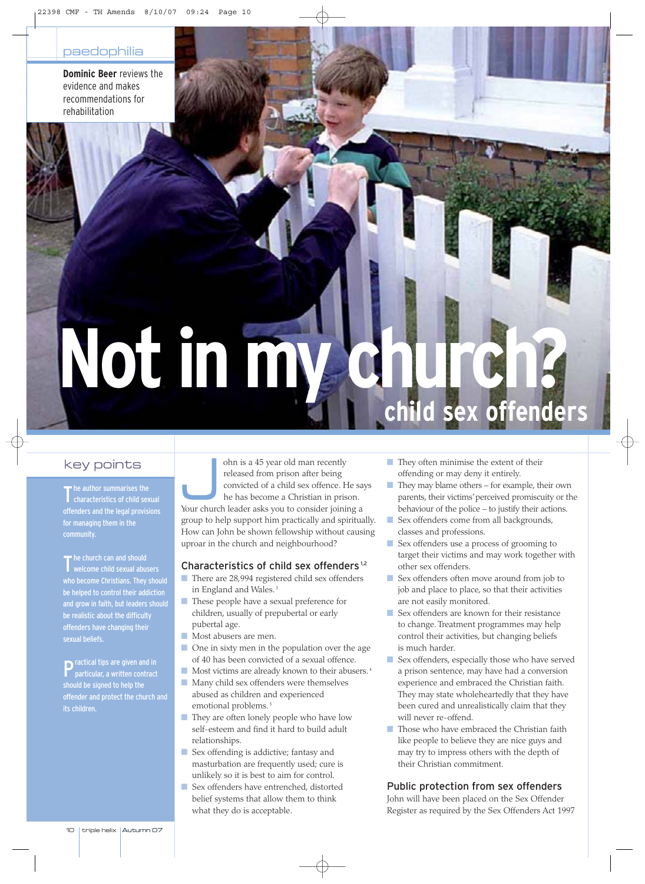**Dominic Beer** reviews the evidence and makes recommendations for rehabilitation

# **Not in my church? child sex offenders**

# key points

The author summarises the<br>T characteristics of child sex characteristics of child sexual offenders and the legal provisions for managing them in the community.

The church can and should<br>Welcome child sexual abu welcome child sexual abusers who become Christians. They should be helped to control their addiction and grow in faith, but leaders should be realistic about the difficulty offenders have changing their sexual beliefs.

**P**ractical tips are given and in particular, a written contract should be signed to help the offender and protect the church and

ohn is a 45 year old man recently<br>
released from prison after being<br>
convicted of a child sex offence. He sa<br>
he has become a Christian in prison.<br>
Your church leader asks you to consider joining a released from prison after being convicted of a child sex offence. He says he has become a Christian in prison. group to help support him practically and spiritually. How can John be shown fellowship without causing uproar in the church and neighbourhood?

### Characteristics of child sex offenders<sup>1,2</sup>

- There are 28,994 registered child sex offenders in England and Wales.<sup>3</sup>
- These people have a sexual preference for children, usually of prepubertal or early pubertal age.
- Most abusers are men.
- One in sixty men in the population over the age of 40 has been convicted of a sexual offence.
- Most victims are already known to their abusers.<sup>4</sup>
- Many child sex offenders were themselves abused as children and experienced emotional problems.<sup>5</sup>
- They are often lonely people who have low self-esteem and find it hard to build adult relationships.
- Sex offending is addictive; fantasy and masturbation are frequently used; cure is unlikely so it is best to aim for control.
- Sex offenders have entrenched, distorted belief systems that allow them to think what they do is acceptable.

Photo: Wellcome Photo: Wellcome

- They often minimise the extent of their offending or may deny it entirely.
- They may blame others for example, their own parents, their victims' perceived promiscuity or the behaviour of the police – to justify their actions.
- Sex offenders come from all backgrounds, classes and professions.
- Sex offenders use a process of grooming to target their victims and may work together with other sex offenders.
- Sex offenders often move around from job to job and place to place, so that their activities are not easily monitored.
- Sex offenders are known for their resistance to change. Treatment programmes may help control their activities, but changing beliefs is much harder.
- Sex offenders, especially those who have served a prison sentence, may have had a conversion experience and embraced the Christian faith. They may state wholeheartedly that they have been cured and unrealistically claim that they will never re-offend.
- Those who have embraced the Christian faith like people to believe they are nice guys and may try to impress others with the depth of their Christian commitment.

## Public protection from sex offenders

John will have been placed on the Sex Offender Register as required by the Sex Offenders Act 1997